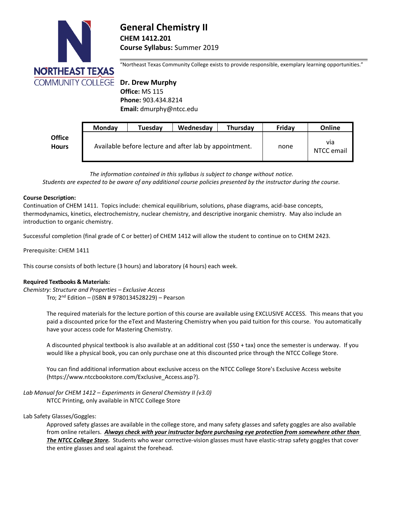

# **General Chemistry II CHEM 1412.201 Course Syllabus:** Summer 2019

"Northeast Texas Community College exists to provide responsible, exemplary learning opportunities."

 **Office:** MS 115  **Phone:** 903.434.8214  **Email:** dmurphy@ntcc.edu

|                        | <b>Monday</b> | Tuesday | Wednesday                                              | <b>Thursdav</b> | Fridav | Online            |
|------------------------|---------------|---------|--------------------------------------------------------|-----------------|--------|-------------------|
| <b>Office</b><br>Hours |               |         | Available before lecture and after lab by appointment. |                 | none   | via<br>NTCC email |

*The information contained in this syllabus is subject to change without notice.*

*Students are expected to be aware of any additional course policies presented by the instructor during the course.*

#### **Course Description:**

Continuation of CHEM 1411. Topics include: chemical equilibrium, solutions, phase diagrams, acid-base concepts, thermodynamics, kinetics, electrochemistry, nuclear chemistry, and descriptive inorganic chemistry. May also include an introduction to organic chemistry.

Successful completion (final grade of C or better) of CHEM 1412 will allow the student to continue on to CHEM 2423.

Prerequisite: CHEM 1411

This course consists of both lecture (3 hours) and laboratory (4 hours) each week.

# **Required Textbooks & Materials:**

*Chemistry: Structure and Properties – Exclusive Access* Tro; 2 nd Edition – (ISBN # 9780134528229) – Pearson

> The required materials for the lecture portion of this course are available using EXCLUSIVE ACCESS. This means that you paid a discounted price for the eText and Mastering Chemistry when you paid tuition for this course. You automatically have your access code for Mastering Chemistry.

A discounted physical textbook is also available at an additional cost (\$50 + tax) once the semester is underway. If you would like a physical book, you can only purchase one at this discounted price through the NTCC College Store.

You can find additional information about exclusive access on the NTCC College Store's Exclusive Access website [\(https://www.ntccbookstore.com/Exclusive\\_Access.asp?\)](https://www.ntccbookstore.com/Exclusive_Access.asp?).

*Lab Manual for CHEM 1412 – Experiments in General Chemistry II (v3.0)* NTCC Printing, only available in NTCC College Store

Lab Safety Glasses/Goggles:

Approved safety glasses are available in the college store, and many safety glasses and safety goggles are also available from online retailers. *Always check with your instructor before purchasing eye protection from somewhere other than The NTCC College Store.* Students who wear corrective-vision glasses must have elastic-strap safety goggles that cover the entire glasses and seal against the forehead.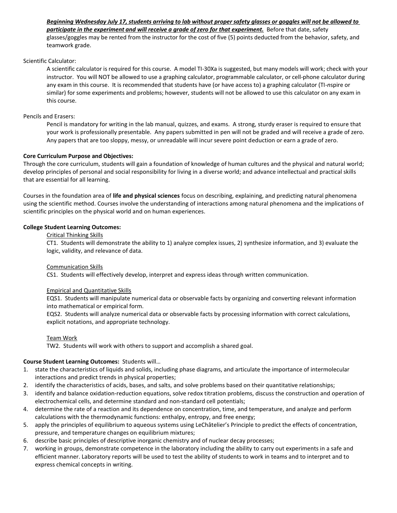# *Beginning Wednesday July 17, students arriving to lab without proper safety glasses or goggles will not be allowed to participate in the experiment and will receive a grade of zero for that experiment.* Before that date, safety glasses/goggles may be rented from the instructor for the cost of five (5) points deducted from the behavior, safety, and teamwork grade.

## Scientific Calculator:

A scientific calculator is required for this course. A model TI-30Xa is suggested, but many models will work; check with your instructor. You will NOT be allowed to use a graphing calculator, programmable calculator, or cell-phone calculator during any exam in this course. It is recommended that students have (or have access to) a graphing calculator (TI-*n*spire or similar) for some experiments and problems; however, students will not be allowed to use this calculator on any exam in this course.

### Pencils and Erasers:

Pencil is mandatory for writing in the lab manual, quizzes, and exams. A strong, sturdy eraser is required to ensure that your work is professionally presentable. Any papers submitted in pen will not be graded and will receive a grade of zero. Any papers that are too sloppy, messy, or unreadable will incur severe point deduction or earn a grade of zero.

# **Core Curriculum Purpose and Objectives:**

Through the core curriculum, students will gain a foundation of knowledge of human cultures and the physical and natural world; develop principles of personal and social responsibility for living in a diverse world; and advance intellectual and practical skills that are essential for all learning.

Courses in the foundation area of **life and physical sciences** focus on describing, explaining, and predicting natural phenomena using the scientific method. Courses involve the understanding of interactions among natural phenomena and the implications of scientific principles on the physical world and on human experiences.

## **College Student Learning Outcomes:**

## Critical Thinking Skills

CT1. Students will demonstrate the ability to 1) analyze complex issues, 2) synthesize information, and 3) evaluate the logic, validity, and relevance of data.

#### Communication Skills

CS1. Students will effectively develop, interpret and express ideas through written communication.

#### Empirical and Quantitative Skills

EQS1. Students will manipulate numerical data or observable facts by organizing and converting relevant information into mathematical or empirical form.

EQS2. Students will analyze numerical data or observable facts by processing information with correct calculations, explicit notations, and appropriate technology.

# Team Work

TW2. Students will work with others to support and accomplish a shared goal.

# **Course Student Learning Outcomes:** Students will…

- 1. state the characteristics of liquids and solids, including phase diagrams, and articulate the importance of intermolecular interactions and predict trends in physical properties;
- 2. identify the characteristics of acids, bases, and salts, and solve problems based on their quantitative relationships;
- 3. identify and balance oxidation-reduction equations, solve redox titration problems, discuss the construction and operation of electrochemical cells, and determine standard and non‐standard cell potentials;
- 4. determine the rate of a reaction and its dependence on concentration, time, and temperature, and analyze and perform calculations with the thermodynamic functions: enthalpy, entropy, and free energy;
- 5. apply the principles of equilibrium to aqueous systems using LeChâtelier's Principle to predict the effects of concentration, pressure, and temperature changes on equilibrium mixtures;
- 6. describe basic principles of descriptive inorganic chemistry and of nuclear decay processes;
- 7. working in groups, demonstrate competence in the laboratory including the ability to carry out experiments in a safe and efficient manner. Laboratory reports will be used to test the ability of students to work in teams and to interpret and to express chemical concepts in writing.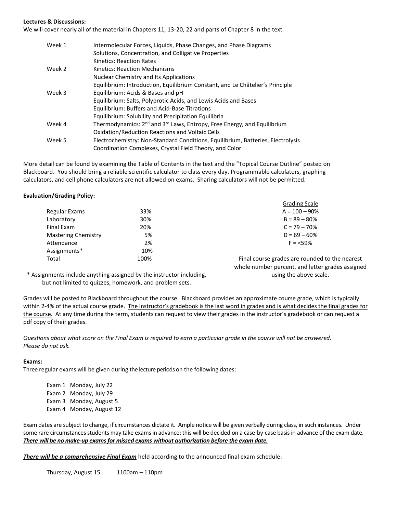# **Lectures & Discussions:**

We will cover nearly all of the material in Chapters 11, 13-20, 22 and parts of Chapter 8 in the text.

| Week 1 | Intermolecular Forces, Liquids, Phase Changes, and Phase Diagrams                               |
|--------|-------------------------------------------------------------------------------------------------|
|        | Solutions, Concentration, and Colligative Properties                                            |
|        | Kinetics: Reaction Rates                                                                        |
| Week 2 | Kinetics: Reaction Mechanisms                                                                   |
|        | <b>Nuclear Chemistry and Its Applications</b>                                                   |
|        | Equilibrium: Introduction, Equilibrium Constant, and Le Châtelier's Principle                   |
| Week 3 | Equilibrium: Acids & Bases and pH                                                               |
|        | Equilibrium: Salts, Polyprotic Acids, and Lewis Acids and Bases                                 |
|        | Equilibrium: Buffers and Acid-Base Titrations                                                   |
|        | Equilibrium: Solubility and Precipitation Equilibria                                            |
| Week 4 | Thermodynamics: 2 <sup>nd</sup> and 3 <sup>rd</sup> Laws, Entropy, Free Energy, and Equilibrium |
|        | <b>Oxidation/Reduction Reactions and Voltaic Cells</b>                                          |
| Week 5 | Electrochemistry: Non-Standard Conditions, Equilibrium, Batteries, Electrolysis                 |
|        | Coordination Complexes, Crystal Field Theory, and Color                                         |

More detail can be found by examining the Table of Contents in the text and the "Topical Course Outline" posted on Blackboard. You should bring a reliable scientific calculator to class every day. Programmable calculators, graphing calculators, and cell phone calculators are not allowed on exams. Sharing calculators will not be permitted.

#### **Evaluation/Grading Policy:**

|                            |      | <b>Grading Scale</b>            |
|----------------------------|------|---------------------------------|
| Regular Exams              | 33%  | $A = 100 - 90%$                 |
| Laboratory                 | 30%  | $B = 89 - 80%$                  |
| Final Exam                 | 20%  | $C = 79 - 70%$                  |
| <b>Mastering Chemistry</b> | 5%   | $D = 69 - 60%$                  |
| Attendance                 | 2%   | $F = 59%$                       |
| Assignments*               | 10%  |                                 |
| Total                      | 100% | Final course grades are rounded |

to the nearest whole number percent, and letter grades assigned using the above scale.

\* Assignments include anything assigned by the instructor including, but not limited to quizzes, homework, and problem sets.

Grades will be posted to Blackboard throughout the course. Blackboard provides an approximate course grade, which is typically within 2-4% of the actual course grade. The instructor's gradebook is the last word in grades and is what decides the final grades for the course. At any time during the term, students can request to view their grades in the instructor's gradebook or can request a pdf copy of their grades.

*Questions about what score on the Final Exam is required to earn a particular grade in the course will not be answered. Please do not ask.*

#### **Exams:**

Three regular exams will be given during the lecture periods on the following dates:

Exam 1 Monday, July 22 Exam 2 Monday, July 29 Exam 3 Monday, August 5 Exam 4 Monday, August 12

Exam dates are subject to change, if circumstances dictate it. Ample notice will be given verbally during class, in such instances. Under some rare circumstances students may take exams in advance; this will be decided on a case-by-case basis in advance of the exam date. *There will be no make-up exams for missed exams without authorization before the exam date.*

*There will be a comprehensive Final Exam* held according to the announced final exam schedule:

Thursday, August 15 1100am – 110pm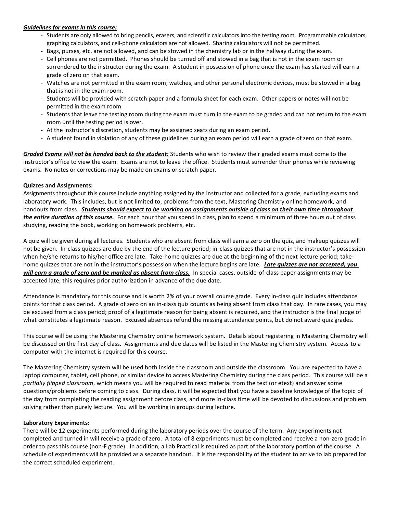## *Guidelines for exams in this course:*

- Students are only allowed to bring pencils, erasers, and scientific calculators into the testing room. Programmable calculators, graphing calculators, and cell-phone calculators are not allowed. Sharing calculators will not be permitted.
- Bags, purses, etc. are not allowed, and can be stowed in the chemistry lab or in the hallway during the exam.
- Cell phones are not permitted. Phones should be turned off and stowed in a bag that is not in the exam room or surrendered to the instructor during the exam. A student in possession of phone once the exam has started will earn a grade of zero on that exam.
- Watches are not permitted in the exam room; watches, and other personal electronic devices, must be stowed in a bag that is not in the exam room.
- Students will be provided with scratch paper and a formula sheet for each exam. Other papers or notes will not be permitted in the exam room.
- Students that leave the testing room during the exam must turn in the exam to be graded and can not return to the exam room until the testing period is over.
- At the instructor's discretion, students may be assigned seats during an exam period.
- A student found in violation of any of these guidelines during an exam period will earn a grade of zero on that exam.

*Graded Exams will not be handed back to the student:* Students who wish to review their graded exams must come to the instructor's office to view the exam. Exams are not to leave the office. Students must surrender their phones while reviewing exams. No notes or corrections may be made on exams or scratch paper.

#### **Quizzes and Assignments:**

Assignments throughout this course include anything assigned by the instructor and collected for a grade, excluding exams and laboratory work. This includes, but is not limited to, problems from the text, Mastering Chemistry online homework, and handouts from class. *Students should expect to be working on assignments outside of class on their own time throughout the entire duration of this course.* For each hour that you spend in class, plan to spend a minimum of three hours out of class studying, reading the book, working on homework problems, etc.

A quiz will be given during all lectures. Students who are absent from class will earn a zero on the quiz, and makeup quizzes will not be given. In-class quizzes are due by the end of the lecture period; in-class quizzes that are not in the instructor's possession when he/she returns to his/her office are late. Take-home quizzes are due at the beginning of the next lecture period; takehome quizzes that are not in the instructor's possession when the lecture begins are late. *Late quizzes are not accepted; you will earn a grade of zero and be marked as absent from class.* In special cases, outside-of-class paper assignments may be accepted late; this requires prior authorization in advance of the due date.

Attendance is mandatory for this course and is worth 2% of your overall course grade. Every in-class quiz includes attendance points for that class period. A grade of zero on an in-class quiz counts as being absent from class that day. In rare cases, you may be excused from a class period; proof of a legitimate reason for being absent is required, and the instructor is the final judge of what constitutes a legitimate reason. Excused absences refund the missing attendance points, but do not award quiz grades.

This course will be using the Mastering Chemistry online homework system. Details about registering in Mastering Chemistry will be discussed on the first day of class. Assignments and due dates will be listed in the Mastering Chemistry system. Access to a computer with the internet is required for this course.

The Mastering Chemistry system will be used both inside the classroom and outside the classroom. You are expected to have a laptop computer, tablet, cell phone, or similar device to access Mastering Chemistry during the class period. This course will be a *partially flipped classroom*, which means you will be required to read material from the text (or etext) and answer some questions/problems before coming to class. During class, it will be expected that you have a baseline knowledge of the topic of the day from completing the reading assignment before class, and more in-class time will be devoted to discussions and problem solving rather than purely lecture. You will be working in groups during lecture.

#### **Laboratory Experiments:**

There will be 12 experiments performed during the laboratory periods over the course of the term. Any experiments not completed and turned in will receive a grade of zero. A total of 8 experiments must be completed and receive a non-zero grade in order to pass this course (non-F grade). In addition, a Lab Practical is required as part of the laboratory portion of the course. A schedule of experiments will be provided as a separate handout. It is the responsibility of the student to arrive to lab prepared for the correct scheduled experiment.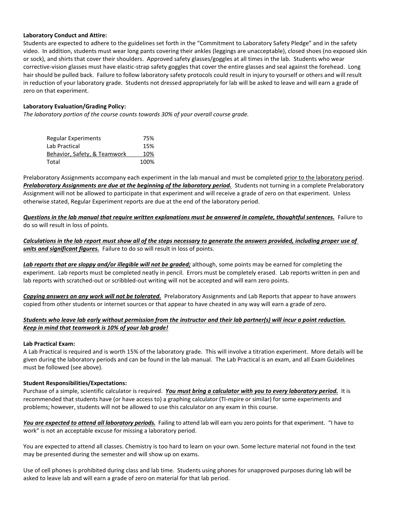## **Laboratory Conduct and Attire:**

Students are expected to adhere to the guidelines set forth in the "Commitment to Laboratory Safety Pledge" and in the safety video. In addition, students must wear long pants covering their ankles (leggings are unacceptable), closed shoes (no exposed skin or sock), and shirts that cover their shoulders. Approved safety glasses/goggles at all times in the lab. Students who wear corrective-vision glasses must have elastic-strap safety goggles that cover the entire glasses and seal against the forehead. Long hair should be pulled back. Failure to follow laboratory safety protocols could result in injury to yourself or others and will result in reduction of your laboratory grade. Students not dressed appropriately for lab will be asked to leave and will earn a grade of zero on that experiment.

# **Laboratory Evaluation/Grading Policy:**

*The laboratory portion of the course counts towards 30% of your overall course grade.*

| <b>Regular Experiments</b>   | 75%  |
|------------------------------|------|
| Lab Practical                | 15%  |
| Behavior, Safety, & Teamwork | 10%  |
| Total                        | 100% |

Prelaboratory Assignments accompany each experiment in the lab manual and must be completed prior to the laboratory period. *Prelaboratory Assignments are due at the beginning of the laboratory period.* Students not turning in a complete Prelaboratory Assignment will not be allowed to participate in that experiment and will receive a grade of zero on that experiment. Unless otherwise stated, Regular Experiment reports are due at the end of the laboratory period.

*Questions in the lab manual that require written explanations must be answered in complete, thoughtful sentences.* Failure to do so will result in loss of points.

*Calculations in the lab report must show all of the steps necessary to generate the answers provided, including proper use of units and significant figures.* Failure to do so will result in loss of points.

*Lab reports that are sloppy and/or illegible will not be graded;* although, some points may be earned for completing the experiment. Lab reports must be completed neatly in pencil. Errors must be completely erased. Lab reports written in pen and lab reports with scratched-out or scribbled-out writing will not be accepted and will earn zero points.

*Copying answers on any work will not be tolerated.* Prelaboratory Assignments and Lab Reports that appear to have answers copied from other students or internet sources or that appear to have cheated in any way will earn a grade of zero.

# *Students who leave lab early without permission from the instructor and their lab partner(s) will incur a point reduction. Keep in mind that teamwork is 10% of your lab grade!*

#### **Lab Practical Exam:**

A Lab Practical is required and is worth 15% of the laboratory grade. This will involve a titration experiment. More details will be given during the laboratory periods and can be found in the lab manual. The Lab Practical is an exam, and all Exam Guidelines must be followed (see above).

#### **Student Responsibilities/Expectations:**

Purchase of a simple, scientific calculator is required. *You must bring a calculator with you to every laboratory period.* It is recommended that students have (or have access to) a graphing calculator (TI-*n*spire or similar) for some experiments and problems; however, students will not be allowed to use this calculator on any exam in this course.

*You are expected to attend all laboratory periods.* Failing to attend lab will earn you zero points for that experiment. "I have to work" is not an acceptable excuse for missing a laboratory period.

You are expected to attend all classes. Chemistry is too hard to learn on your own. Some lecture material not found in the text may be presented during the semester and will show up on exams.

Use of cell phones is prohibited during class and lab time. Students using phones for unapproved purposes during lab will be asked to leave lab and will earn a grade of zero on material for that lab period.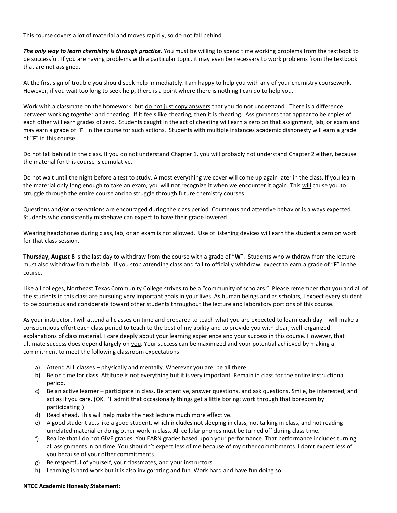This course covers a lot of material and moves rapidly, so do not fall behind.

*The only way to learn chemistry is through practice.* You must be willing to spend time working problems from the textbook to be successful. If you are having problems with a particular topic, it may even be necessary to work problems from the textbook that are not assigned.

At the first sign of trouble you should seek help immediately. I am happy to help you with any of your chemistry coursework. However, if you wait too long to seek help, there is a point where there is nothing I can do to help you.

Work with a classmate on the homework, but do not just copy answers that you do not understand. There is a difference between working together and cheating. If it feels like cheating, then it is cheating. Assignments that appear to be copies of each other will earn grades of zero. Students caught in the act of cheating will earn a zero on that assignment, lab, or exam and may earn a grade of "**F**" in the course for such actions. Students with multiple instances academic dishonesty will earn a grade of "**F**" in this course.

Do not fall behind in the class. If you do not understand Chapter 1, you will probably not understand Chapter 2 either, because the material for this course is cumulative.

Do not wait until the night before a test to study. Almost everything we cover will come up again later in the class. If you learn the material only long enough to take an exam, you will not recognize it when we encounter it again. This will cause you to struggle through the entire course and to struggle through future chemistry courses.

Questions and/or observations are encouraged during the class period. Courteous and attentive behavior is always expected. Students who consistently misbehave can expect to have their grade lowered.

Wearing headphones during class, lab, or an exam is not allowed. Use of listening devices will earn the student a zero on work for that class session.

**Thursday, August 8** is the last day to withdraw from the course with a grade of "**W**". Students who withdraw from the lecture must also withdraw from the lab. If you stop attending class and fail to officially withdraw, expect to earn a grade of "**F**" in the course.

Like all colleges, Northeast Texas Community College strives to be a "community of scholars." Please remember that you and all of the students in this class are pursuing very important goals in your lives. As human beings and as scholars, I expect every student to be courteous and considerate toward other students throughout the lecture and laboratory portions of this course.

As your instructor, I will attend all classes on time and prepared to teach what you are expected to learn each day. I will make a conscientious effort each class period to teach to the best of my ability and to provide you with clear, well-organized explanations of class material. I care deeply about your learning experience and your success in this course. However, that ultimate success does depend largely on you. Your success can be maximized and your potential achieved by making a commitment to meet the following classroom expectations:

- a) Attend ALL classes physically and mentally. Wherever you are, be all there.
- b) Be on time for class. Attitude is not everything but it is very important. Remain in class for the entire instructional period.
- c) Be an active learner participate in class. Be attentive, answer questions, and ask questions. Smile, be interested, and act as if you care. (OK, I'll admit that occasionally things get a little boring; work through that boredom by participating!)
- d) Read ahead. This will help make the next lecture much more effective.
- e) A good student acts like a good student, which includes not sleeping in class, not talking in class, and not reading unrelated material or doing other work in class. All cellular phones must be turned off during class time.
- f) Realize that I do not GIVE grades. You EARN grades based upon your performance. That performance includes turning all assignments in on time. You shouldn't expect less of me because of my other commitments. I don't expect less of you because of your other commitments.
- g) Be respectful of yourself, your classmates, and your instructors.
- h) Learning is hard work but it is also invigorating and fun. Work hard and have fun doing so.

#### **NTCC Academic Honesty Statement:**